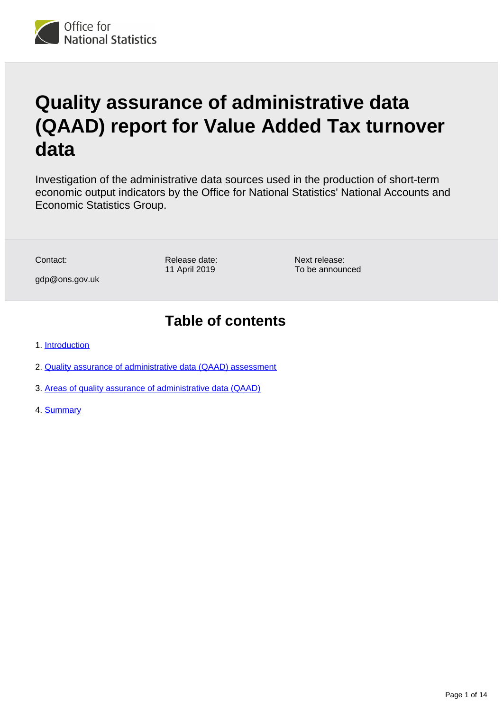

# **Quality assurance of administrative data (QAAD) report for Value Added Tax turnover data**

Investigation of the administrative data sources used in the production of short-term economic output indicators by the Office for National Statistics' National Accounts and Economic Statistics Group.

Contact:

Release date: 11 April 2019

Next release: To be announced

## **Table of contents**

1. [Introduction](#page-1-0)

gdp@ons.gov.uk

- 2. [Quality assurance of administrative data \(QAAD\) assessment](#page-1-1)
- 3. [Areas of quality assurance of administrative data \(QAAD\)](#page-3-0)
- 4. [Summary](#page-12-0)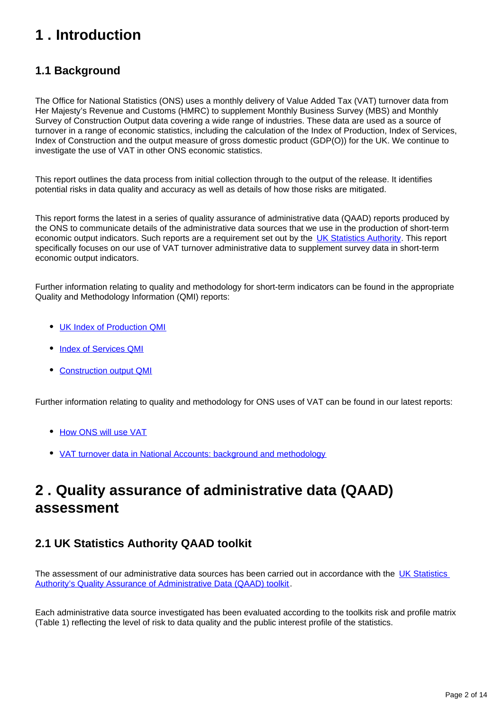## <span id="page-1-0"></span>**1 . Introduction**

## **1.1 Background**

The Office for National Statistics (ONS) uses a monthly delivery of Value Added Tax (VAT) turnover data from Her Majesty's Revenue and Customs (HMRC) to supplement Monthly Business Survey (MBS) and Monthly Survey of Construction Output data covering a wide range of industries. These data are used as a source of turnover in a range of economic statistics, including the calculation of the Index of Production, Index of Services, Index of Construction and the output measure of gross domestic product (GDP(O)) for the UK. We continue to investigate the use of VAT in other ONS economic statistics.

This report outlines the data process from initial collection through to the output of the release. It identifies potential risks in data quality and accuracy as well as details of how those risks are mitigated.

This report forms the latest in a series of quality assurance of administrative data (QAAD) reports produced by the ONS to communicate details of the administrative data sources that we use in the production of short-term economic output indicators. Such reports are a requirement set out by the [UK Statistics Authority.](https://www.statisticsauthority.gov.uk/monitoring-and-assessment/monitoring/administrative-data-and-official-statistics/) This report specifically focuses on our use of VAT turnover administrative data to supplement survey data in short-term economic output indicators.

Further information relating to quality and methodology for short-term indicators can be found in the appropriate Quality and Methodology Information (QMI) reports:

- [UK Index of Production QMI](https://www.ons.gov.uk/economy/nationalaccounts/uksectoraccounts/qmis/indexofproductionqmi)
- [Index of Services QMI](https://www.ons.gov.uk/economy/nationalaccounts/uksectoraccounts/qmis/indexofservicesqmi)
- [Construction output QMI](https://www.ons.gov.uk/businessindustryandtrade/constructionindustry/methodologies/constructionoutputqualityandmethodologyinformation)

Further information relating to quality and methodology for ONS uses of VAT can be found in our latest reports:

- [How ONS will use VAT](https://www.ons.gov.uk/economy/grossdomesticproductgdp/articles/vatturnoverinitialresearchanalysisuk/juneupdate)
- [VAT turnover data in National Accounts: background and methodology](https://www.ons.gov.uk/economy/grossdomesticproductgdp/methodologies/vatturnoverdatainnationalaccountsbackgroundandmethodology)

## <span id="page-1-1"></span>**2 . Quality assurance of administrative data (QAAD) assessment**

## **2.1 UK Statistics Authority QAAD toolkit**

The assessment of our administrative data sources has been carried out in accordance with the UK Statistics [Authority's Quality Assurance of Administrative Data \(QAAD\) toolkit](https://www.statisticsauthority.gov.uk/publication/administrative-data-quality-assurance-toolkit/).

Each administrative data source investigated has been evaluated according to the toolkits risk and profile matrix (Table 1) reflecting the level of risk to data quality and the public interest profile of the statistics.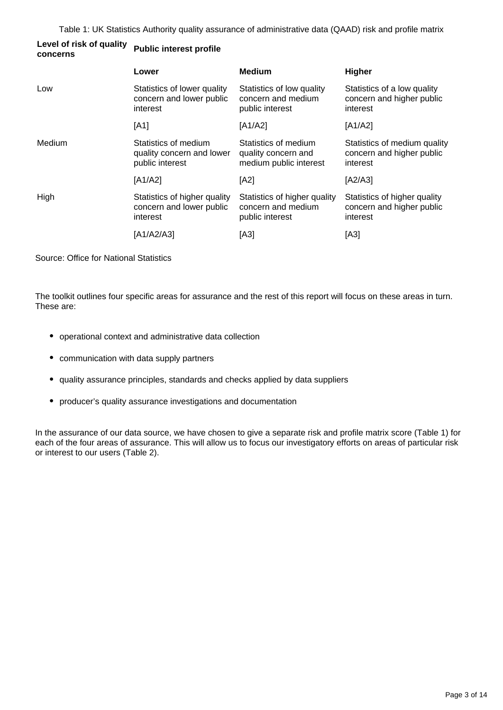| Level of risk of quality | <b>Public interest profile</b> |
|--------------------------|--------------------------------|
| concerns                 |                                |

|        | Lower                                                                | <b>Medium</b>                                                         | Higher                                                                |
|--------|----------------------------------------------------------------------|-----------------------------------------------------------------------|-----------------------------------------------------------------------|
| Low    | Statistics of lower quality<br>concern and lower public<br>interest  | Statistics of low quality<br>concern and medium<br>public interest    | Statistics of a low quality<br>concern and higher public<br>interest  |
|        | [A1]                                                                 | [A1/A2]                                                               | [A1/A2]                                                               |
| Medium | Statistics of medium<br>quality concern and lower<br>public interest | Statistics of medium<br>quality concern and<br>medium public interest | Statistics of medium quality<br>concern and higher public<br>interest |
|        | [A1/A2]                                                              | [A2]                                                                  | [A2/A3]                                                               |
| High   | Statistics of higher quality<br>concern and lower public<br>interest | Statistics of higher quality<br>concern and medium<br>public interest | Statistics of higher quality<br>concern and higher public<br>interest |
|        | [A1/A2/A3]                                                           | [A3]                                                                  | [A3]                                                                  |

Source: Office for National Statistics

The toolkit outlines four specific areas for assurance and the rest of this report will focus on these areas in turn. These are:

- operational context and administrative data collection
- communication with data supply partners
- quality assurance principles, standards and checks applied by data suppliers
- producer's quality assurance investigations and documentation

In the assurance of our data source, we have chosen to give a separate risk and profile matrix score (Table 1) for each of the four areas of assurance. This will allow us to focus our investigatory efforts on areas of particular risk or interest to our users (Table 2).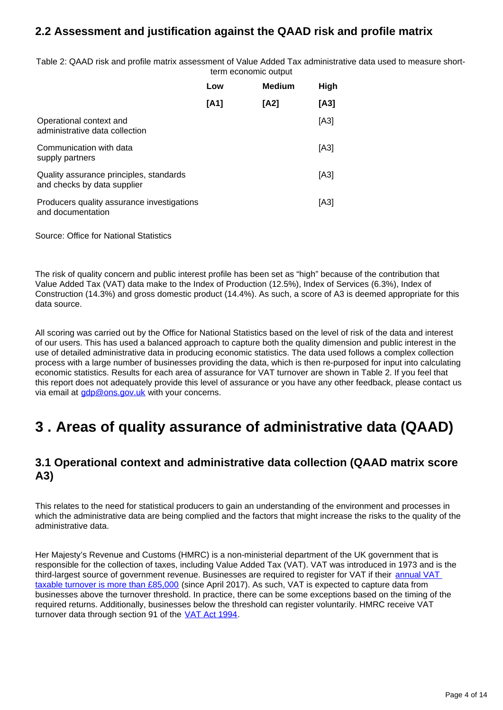## **2.2 Assessment and justification against the QAAD risk and profile matrix**

Table 2: QAAD risk and profile matrix assessment of Value Added Tax administrative data used to measure shortterm economic output

|                                                                        | Low  | <b>Medium</b> | High |
|------------------------------------------------------------------------|------|---------------|------|
|                                                                        | [A1] | [A2]          | [A3] |
| Operational context and<br>administrative data collection              |      |               | [A3] |
| Communication with data<br>supply partners                             |      |               | [A3] |
| Quality assurance principles, standards<br>and checks by data supplier |      |               | [A3] |
| Producers quality assurance investigations<br>and documentation        |      |               | [A3] |

Source: Office for National Statistics

The risk of quality concern and public interest profile has been set as "high" because of the contribution that Value Added Tax (VAT) data make to the Index of Production (12.5%), Index of Services (6.3%), Index of Construction (14.3%) and gross domestic product (14.4%). As such, a score of A3 is deemed appropriate for this data source.

All scoring was carried out by the Office for National Statistics based on the level of risk of the data and interest of our users. This has used a balanced approach to capture both the quality dimension and public interest in the use of detailed administrative data in producing economic statistics. The data used follows a complex collection process with a large number of businesses providing the data, which is then re-purposed for input into calculating economic statistics. Results for each area of assurance for VAT turnover are shown in Table 2. If you feel that this report does not adequately provide this level of assurance or you have any other feedback, please contact us via email at  $\frac{qdp@ons.qov.uk}{with}$  with your concerns.

## <span id="page-3-0"></span>**3 . Areas of quality assurance of administrative data (QAAD)**

### **3.1 Operational context and administrative data collection (QAAD matrix score A3)**

This relates to the need for statistical producers to gain an understanding of the environment and processes in which the administrative data are being complied and the factors that might increase the risks to the quality of the administrative data.

Her Majesty's Revenue and Customs (HMRC) is a non-ministerial department of the UK government that is responsible for the collection of taxes, including Value Added Tax (VAT). VAT was introduced in 1973 and is the third-largest source of government revenue. Businesses are required to register for VAT if their [annual VAT](https://www.bing.com/search?q=https%3A%2F%2Fwww.gov.uk%2Fvat-registration%2Fwhen-to-register&src=IE-SearchBox&FORM=IESR3N)  [taxable turnover is more than £85,000](https://www.bing.com/search?q=https%3A%2F%2Fwww.gov.uk%2Fvat-registration%2Fwhen-to-register&src=IE-SearchBox&FORM=IESR3N) (since April 2017). As such, VAT is expected to capture data from businesses above the turnover threshold. In practice, there can be some exceptions based on the timing of the required returns. Additionally, businesses below the threshold can register voluntarily. HMRC receive VAT turnover data through section 91 of the [VAT Act 1994](http://www.legislation.gov.uk/ukpga/1994/23/section/91).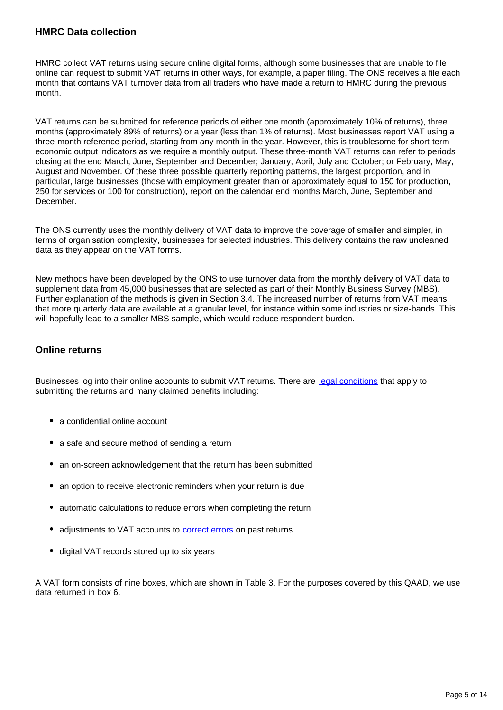#### **HMRC Data collection**

HMRC collect VAT returns using secure online digital forms, although some businesses that are unable to file online can request to submit VAT returns in other ways, for example, a paper filing. The ONS receives a file each month that contains VAT turnover data from all traders who have made a return to HMRC during the previous month.

VAT returns can be submitted for reference periods of either one month (approximately 10% of returns), three months (approximately 89% of returns) or a year (less than 1% of returns). Most businesses report VAT using a three-month reference period, starting from any month in the year. However, this is troublesome for short-term economic output indicators as we require a monthly output. These three-month VAT returns can refer to periods closing at the end March, June, September and December; January, April, July and October; or February, May, August and November. Of these three possible quarterly reporting patterns, the largest proportion, and in particular, large businesses (those with employment greater than or approximately equal to 150 for production, 250 for services or 100 for construction), report on the calendar end months March, June, September and **December** 

The ONS currently uses the monthly delivery of VAT data to improve the coverage of smaller and simpler, in terms of organisation complexity, businesses for selected industries. This delivery contains the raw uncleaned data as they appear on the VAT forms.

New methods have been developed by the ONS to use turnover data from the monthly delivery of VAT data to supplement data from 45,000 businesses that are selected as part of their Monthly Business Survey (MBS). Further explanation of the methods is given in Section 3.4. The increased number of returns from VAT means that more quarterly data are available at a granular level, for instance within some industries or size-bands. This will hopefully lead to a smaller MBS sample, which would reduce respondent burden.

#### **Online returns**

Businesses log into their online accounts to submit VAT returns. There are [legal conditions](https://www.bing.com/search?q=HMRC%20legal%20conditions&qs=n&form=QBRE&sp=-1&ghc=1&pq=hmrc%20legal%20conditions&sc=0-21&sk=&cvid=C12885BFE71648589BA48E2267D448AB) that apply to submitting the returns and many claimed benefits including:

- a confidential online account
- a safe and secure method of sending a return
- an on-screen acknowledgement that the return has been submitted
- an option to receive electronic reminders when your return is due
- automatic calculations to reduce errors when completing the return
- adjustments to VAT accounts to **[correct errors](https://www.bing.com/search?q=https%3A%2F%2Fwww.gov.uk%2Fvat-corrections&src=IE-SearchBox&FORM=IESR3N)** on past returns
- $\bullet$ digital VAT records stored up to six years

A VAT form consists of nine boxes, which are shown in Table 3. For the purposes covered by this QAAD, we use data returned in box 6.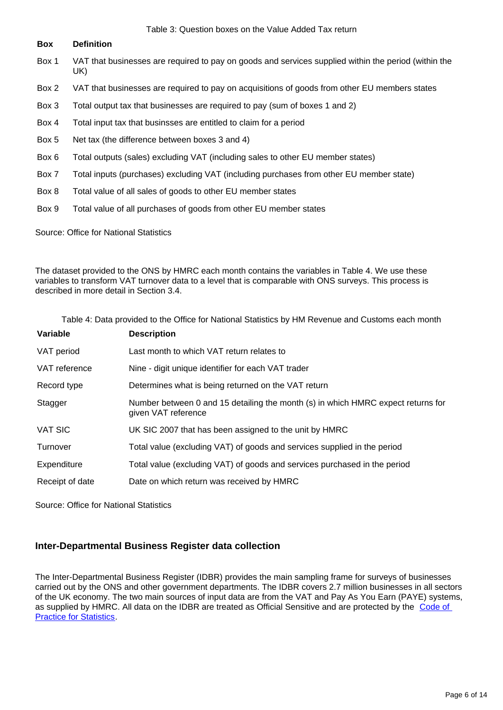#### Table 3: Question boxes on the Value Added Tax return

#### **Box Definition**

- Box 1 VAT that businesses are required to pay on goods and services supplied within the period (within the UK)
- Box 2 VAT that businesses are required to pay on acquisitions of goods from other EU members states
- Box 3 Total output tax that businesses are required to pay (sum of boxes 1 and 2)
- Box 4 Total input tax that businsses are entitled to claim for a period
- Box 5 Net tax (the difference between boxes 3 and 4)
- Box 6 Total outputs (sales) excluding VAT (including sales to other EU member states)
- Box 7 Total inputs (purchases) excluding VAT (including purchases from other EU member state)
- Box 8 Total value of all sales of goods to other EU member states
- Box 9 Total value of all purchases of goods from other EU member states

Source: Office for National Statistics

The dataset provided to the ONS by HMRC each month contains the variables in Table 4. We use these variables to transform VAT turnover data to a level that is comparable with ONS surveys. This process is described in more detail in Section 3.4.

| Table 4: Data provided to the Office for National Statistics by HM Revenue and Customs each month |                                                                                                         |  |
|---------------------------------------------------------------------------------------------------|---------------------------------------------------------------------------------------------------------|--|
| Variable                                                                                          | <b>Description</b>                                                                                      |  |
| VAT period                                                                                        | Last month to which VAT return relates to                                                               |  |
| VAT reference                                                                                     | Nine - digit unique identifier for each VAT trader                                                      |  |
| Record type                                                                                       | Determines what is being returned on the VAT return                                                     |  |
| Stagger                                                                                           | Number between 0 and 15 detailing the month (s) in which HMRC expect returns for<br>given VAT reference |  |
| <b>VAT SIC</b>                                                                                    | UK SIC 2007 that has been assigned to the unit by HMRC                                                  |  |
| Turnover                                                                                          | Total value (excluding VAT) of goods and services supplied in the period                                |  |
| Expenditure                                                                                       | Total value (excluding VAT) of goods and services purchased in the period                               |  |
| Receipt of date                                                                                   | Date on which return was received by HMRC                                                               |  |

Source: Office for National Statistics

#### **Inter-Departmental Business Register data collection**

The Inter-Departmental Business Register (IDBR) provides the main sampling frame for surveys of businesses carried out by the ONS and other government departments. The IDBR covers 2.7 million businesses in all sectors of the UK economy. The two main sources of input data are from the VAT and Pay As You Earn (PAYE) systems, as supplied by HMRC. All data on the IDBR are treated as Official Sensitive and are protected by the [Code of](https://www.statisticsauthority.gov.uk/code-of-practice/)  [Practice for Statistics](https://www.statisticsauthority.gov.uk/code-of-practice/).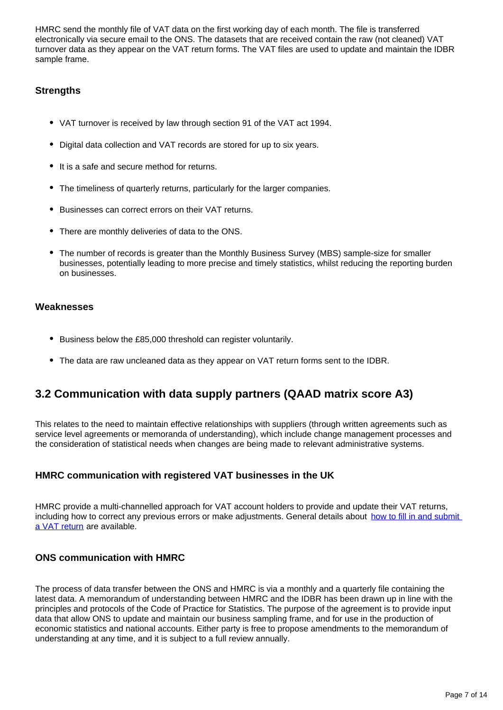HMRC send the monthly file of VAT data on the first working day of each month. The file is transferred electronically via secure email to the ONS. The datasets that are received contain the raw (not cleaned) VAT turnover data as they appear on the VAT return forms. The VAT files are used to update and maintain the IDBR sample frame.

#### **Strengths**

- VAT turnover is received by law through section 91 of the VAT act 1994.
- Digital data collection and VAT records are stored for up to six years.
- It is a safe and secure method for returns.
- The timeliness of quarterly returns, particularly for the larger companies.
- Businesses can correct errors on their VAT returns.
- There are monthly deliveries of data to the ONS.
- The number of records is greater than the Monthly Business Survey (MBS) sample-size for smaller businesses, potentially leading to more precise and timely statistics, whilst reducing the reporting burden on businesses.

#### **Weaknesses**

- Business below the £85,000 threshold can register voluntarily.
- The data are raw uncleaned data as they appear on VAT return forms sent to the IDBR.

### **3.2 Communication with data supply partners (QAAD matrix score A3)**

This relates to the need to maintain effective relationships with suppliers (through written agreements such as service level agreements or memoranda of understanding), which include change management processes and the consideration of statistical needs when changes are being made to relevant administrative systems.

#### **HMRC communication with registered VAT businesses in the UK**

HMRC provide a multi-channelled approach for VAT account holders to provide and update their VAT returns, including how to correct any previous errors or make adjustments. General details about how to fill in and submit [a VAT return](https://www.gov.uk/guidance/how-to-fill-in-and-submit-your-vat-return-vat-notice-70012) are available.

#### **ONS communication with HMRC**

The process of data transfer between the ONS and HMRC is via a monthly and a quarterly file containing the latest data. A memorandum of understanding between HMRC and the IDBR has been drawn up in line with the principles and protocols of the Code of Practice for Statistics. The purpose of the agreement is to provide input data that allow ONS to update and maintain our business sampling frame, and for use in the production of economic statistics and national accounts. Either party is free to propose amendments to the memorandum of understanding at any time, and it is subject to a full review annually.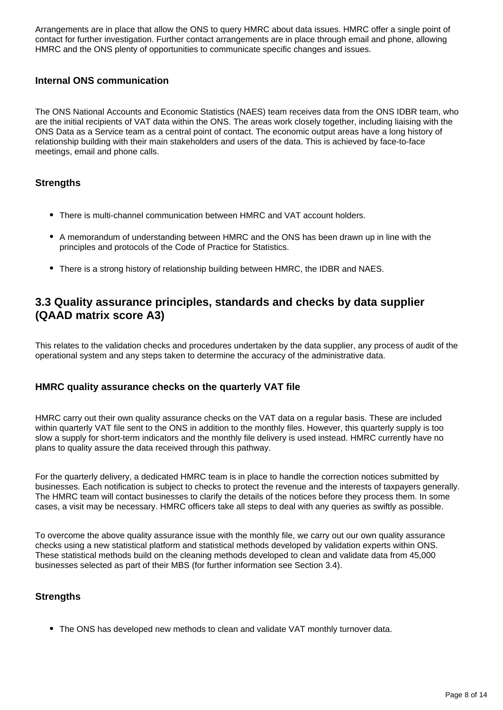Arrangements are in place that allow the ONS to query HMRC about data issues. HMRC offer a single point of contact for further investigation. Further contact arrangements are in place through email and phone, allowing HMRC and the ONS plenty of opportunities to communicate specific changes and issues.

#### **Internal ONS communication**

The ONS National Accounts and Economic Statistics (NAES) team receives data from the ONS IDBR team, who are the initial recipients of VAT data within the ONS. The areas work closely together, including liaising with the ONS Data as a Service team as a central point of contact. The economic output areas have a long history of relationship building with their main stakeholders and users of the data. This is achieved by face-to-face meetings, email and phone calls.

#### **Strengths**

- There is multi-channel communication between HMRC and VAT account holders.
- A memorandum of understanding between HMRC and the ONS has been drawn up in line with the principles and protocols of the Code of Practice for Statistics.
- There is a strong history of relationship building between HMRC, the IDBR and NAES.

### **3.3 Quality assurance principles, standards and checks by data supplier (QAAD matrix score A3)**

This relates to the validation checks and procedures undertaken by the data supplier, any process of audit of the operational system and any steps taken to determine the accuracy of the administrative data.

#### **HMRC quality assurance checks on the quarterly VAT file**

HMRC carry out their own quality assurance checks on the VAT data on a regular basis. These are included within quarterly VAT file sent to the ONS in addition to the monthly files. However, this quarterly supply is too slow a supply for short-term indicators and the monthly file delivery is used instead. HMRC currently have no plans to quality assure the data received through this pathway.

For the quarterly delivery, a dedicated HMRC team is in place to handle the correction notices submitted by businesses. Each notification is subject to checks to protect the revenue and the interests of taxpayers generally. The HMRC team will contact businesses to clarify the details of the notices before they process them. In some cases, a visit may be necessary. HMRC officers take all steps to deal with any queries as swiftly as possible.

To overcome the above quality assurance issue with the monthly file, we carry out our own quality assurance checks using a new statistical platform and statistical methods developed by validation experts within ONS. These statistical methods build on the cleaning methods developed to clean and validate data from 45,000 businesses selected as part of their MBS (for further information see Section 3.4).

#### **Strengths**

• The ONS has developed new methods to clean and validate VAT monthly turnover data.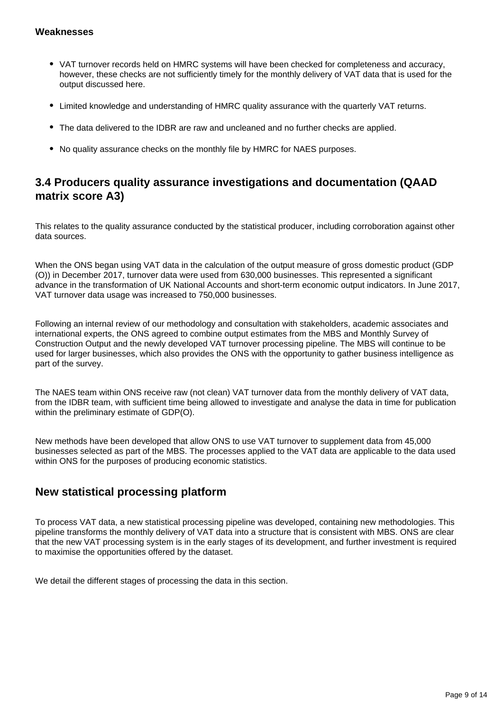#### **Weaknesses**

- VAT turnover records held on HMRC systems will have been checked for completeness and accuracy, however, these checks are not sufficiently timely for the monthly delivery of VAT data that is used for the output discussed here.
- Limited knowledge and understanding of HMRC quality assurance with the quarterly VAT returns.
- The data delivered to the IDBR are raw and uncleaned and no further checks are applied.
- No quality assurance checks on the monthly file by HMRC for NAES purposes.

### **3.4 Producers quality assurance investigations and documentation (QAAD matrix score A3)**

This relates to the quality assurance conducted by the statistical producer, including corroboration against other data sources.

When the ONS began using VAT data in the calculation of the output measure of gross domestic product (GDP) (O)) in December 2017, turnover data were used from 630,000 businesses. This represented a significant advance in the transformation of UK National Accounts and short-term economic output indicators. In June 2017, VAT turnover data usage was increased to 750,000 businesses.

Following an internal review of our methodology and consultation with stakeholders, academic associates and international experts, the ONS agreed to combine output estimates from the MBS and Monthly Survey of Construction Output and the newly developed VAT turnover processing pipeline. The MBS will continue to be used for larger businesses, which also provides the ONS with the opportunity to gather business intelligence as part of the survey.

The NAES team within ONS receive raw (not clean) VAT turnover data from the monthly delivery of VAT data, from the IDBR team, with sufficient time being allowed to investigate and analyse the data in time for publication within the preliminary estimate of GDP(O).

New methods have been developed that allow ONS to use VAT turnover to supplement data from 45,000 businesses selected as part of the MBS. The processes applied to the VAT data are applicable to the data used within ONS for the purposes of producing economic statistics.

### **New statistical processing platform**

To process VAT data, a new statistical processing pipeline was developed, containing new methodologies. This pipeline transforms the monthly delivery of VAT data into a structure that is consistent with MBS. ONS are clear that the new VAT processing system is in the early stages of its development, and further investment is required to maximise the opportunities offered by the dataset.

We detail the different stages of processing the data in this section.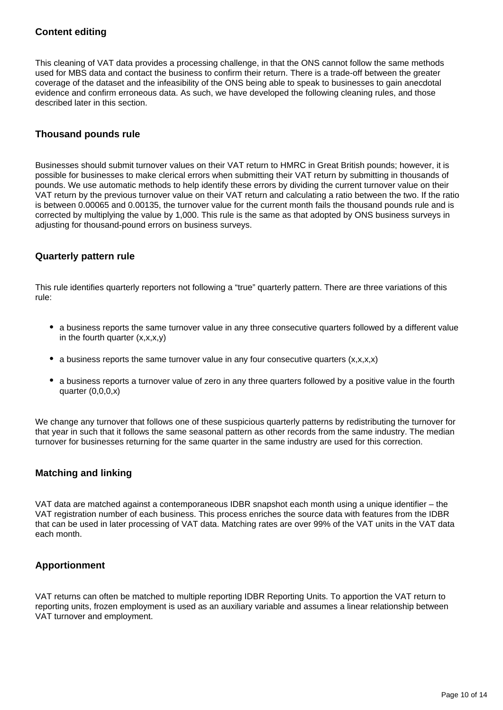#### **Content editing**

This cleaning of VAT data provides a processing challenge, in that the ONS cannot follow the same methods used for MBS data and contact the business to confirm their return. There is a trade-off between the greater coverage of the dataset and the infeasibility of the ONS being able to speak to businesses to gain anecdotal evidence and confirm erroneous data. As such, we have developed the following cleaning rules, and those described later in this section.

#### **Thousand pounds rule**

Businesses should submit turnover values on their VAT return to HMRC in Great British pounds; however, it is possible for businesses to make clerical errors when submitting their VAT return by submitting in thousands of pounds. We use automatic methods to help identify these errors by dividing the current turnover value on their VAT return by the previous turnover value on their VAT return and calculating a ratio between the two. If the ratio is between 0.00065 and 0.00135, the turnover value for the current month fails the thousand pounds rule and is corrected by multiplying the value by 1,000. This rule is the same as that adopted by ONS business surveys in adjusting for thousand-pound errors on business surveys.

#### **Quarterly pattern rule**

This rule identifies quarterly reporters not following a "true" quarterly pattern. There are three variations of this rule:

- a business reports the same turnover value in any three consecutive quarters followed by a different value in the fourth quarter  $(x, x, x, y)$
- a business reports the same turnover value in any four consecutive quarters  $(x, x, x, x)$
- a business reports a turnover value of zero in any three quarters followed by a positive value in the fourth quarter (0,0,0,x)

We change any turnover that follows one of these suspicious quarterly patterns by redistributing the turnover for that year in such that it follows the same seasonal pattern as other records from the same industry. The median turnover for businesses returning for the same quarter in the same industry are used for this correction.

#### **Matching and linking**

VAT data are matched against a contemporaneous IDBR snapshot each month using a unique identifier – the VAT registration number of each business. This process enriches the source data with features from the IDBR that can be used in later processing of VAT data. Matching rates are over 99% of the VAT units in the VAT data each month.

#### **Apportionment**

VAT returns can often be matched to multiple reporting IDBR Reporting Units. To apportion the VAT return to reporting units, frozen employment is used as an auxiliary variable and assumes a linear relationship between VAT turnover and employment.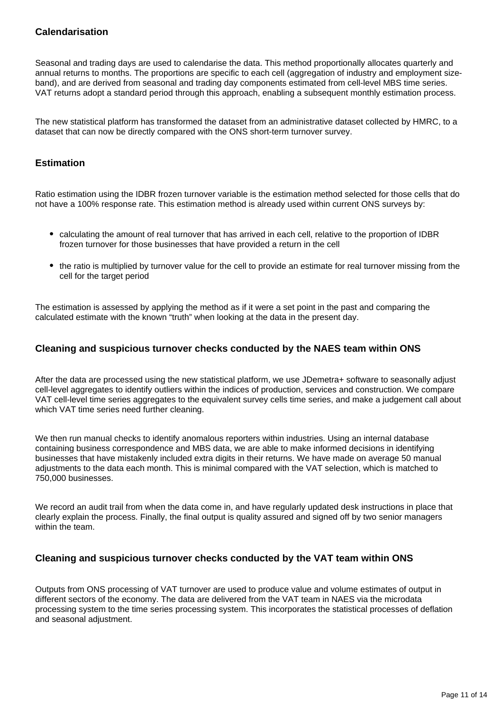#### **Calendarisation**

Seasonal and trading days are used to calendarise the data. This method proportionally allocates quarterly and annual returns to months. The proportions are specific to each cell (aggregation of industry and employment sizeband), and are derived from seasonal and trading day components estimated from cell-level MBS time series. VAT returns adopt a standard period through this approach, enabling a subsequent monthly estimation process.

The new statistical platform has transformed the dataset from an administrative dataset collected by HMRC, to a dataset that can now be directly compared with the ONS short-term turnover survey.

#### **Estimation**

Ratio estimation using the IDBR frozen turnover variable is the estimation method selected for those cells that do not have a 100% response rate. This estimation method is already used within current ONS surveys by:

- calculating the amount of real turnover that has arrived in each cell, relative to the proportion of IDBR frozen turnover for those businesses that have provided a return in the cell
- the ratio is multiplied by turnover value for the cell to provide an estimate for real turnover missing from the cell for the target period

The estimation is assessed by applying the method as if it were a set point in the past and comparing the calculated estimate with the known "truth" when looking at the data in the present day.

#### **Cleaning and suspicious turnover checks conducted by the NAES team within ONS**

After the data are processed using the new statistical platform, we use JDemetra+ software to seasonally adjust cell-level aggregates to identify outliers within the indices of production, services and construction. We compare VAT cell-level time series aggregates to the equivalent survey cells time series, and make a judgement call about which VAT time series need further cleaning.

We then run manual checks to identify anomalous reporters within industries. Using an internal database containing business correspondence and MBS data, we are able to make informed decisions in identifying businesses that have mistakenly included extra digits in their returns. We have made on average 50 manual adjustments to the data each month. This is minimal compared with the VAT selection, which is matched to 750,000 businesses.

We record an audit trail from when the data come in, and have regularly updated desk instructions in place that clearly explain the process. Finally, the final output is quality assured and signed off by two senior managers within the team.

#### **Cleaning and suspicious turnover checks conducted by the VAT team within ONS**

Outputs from ONS processing of VAT turnover are used to produce value and volume estimates of output in different sectors of the economy. The data are delivered from the VAT team in NAES via the microdata processing system to the time series processing system. This incorporates the statistical processes of deflation and seasonal adjustment.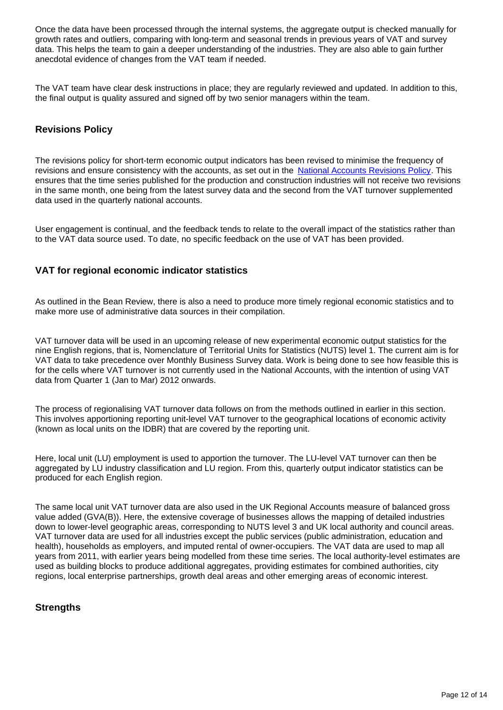Once the data have been processed through the internal systems, the aggregate output is checked manually for growth rates and outliers, comparing with long-term and seasonal trends in previous years of VAT and survey data. This helps the team to gain a deeper understanding of the industries. They are also able to gain further anecdotal evidence of changes from the VAT team if needed.

The VAT team have clear desk instructions in place; they are regularly reviewed and updated. In addition to this, the final output is quality assured and signed off by two senior managers within the team.

#### **Revisions Policy**

The revisions policy for short-term economic output indicators has been revised to minimise the frequency of revisions and ensure consistency with the accounts, as set out in the [National Accounts Revisions Policy](https://www.ons.gov.uk/methodology/methodologytopicsandstatisticalconcepts/revisions/revisionspoliciesforeconomicstatistics/nationalaccountsrevisionspolicyupdateddecember2017). This ensures that the time series published for the production and construction industries will not receive two revisions in the same month, one being from the latest survey data and the second from the VAT turnover supplemented data used in the quarterly national accounts.

User engagement is continual, and the feedback tends to relate to the overall impact of the statistics rather than to the VAT data source used. To date, no specific feedback on the use of VAT has been provided.

#### **VAT for regional economic indicator statistics**

As outlined in the Bean Review, there is also a need to produce more timely regional economic statistics and to make more use of administrative data sources in their compilation.

VAT turnover data will be used in an upcoming release of new experimental economic output statistics for the nine English regions, that is, Nomenclature of Territorial Units for Statistics (NUTS) level 1. The current aim is for VAT data to take precedence over Monthly Business Survey data. Work is being done to see how feasible this is for the cells where VAT turnover is not currently used in the National Accounts, with the intention of using VAT data from Quarter 1 (Jan to Mar) 2012 onwards.

The process of regionalising VAT turnover data follows on from the methods outlined in earlier in this section. This involves apportioning reporting unit-level VAT turnover to the geographical locations of economic activity (known as local units on the IDBR) that are covered by the reporting unit.

Here, local unit (LU) employment is used to apportion the turnover. The LU-level VAT turnover can then be aggregated by LU industry classification and LU region. From this, quarterly output indicator statistics can be produced for each English region.

The same local unit VAT turnover data are also used in the UK Regional Accounts measure of balanced gross value added (GVA(B)). Here, the extensive coverage of businesses allows the mapping of detailed industries down to lower-level geographic areas, corresponding to NUTS level 3 and UK local authority and council areas. VAT turnover data are used for all industries except the public services (public administration, education and health), households as employers, and imputed rental of owner-occupiers. The VAT data are used to map all years from 2011, with earlier years being modelled from these time series. The local authority-level estimates are used as building blocks to produce additional aggregates, providing estimates for combined authorities, city regions, local enterprise partnerships, growth deal areas and other emerging areas of economic interest.

#### **Strengths**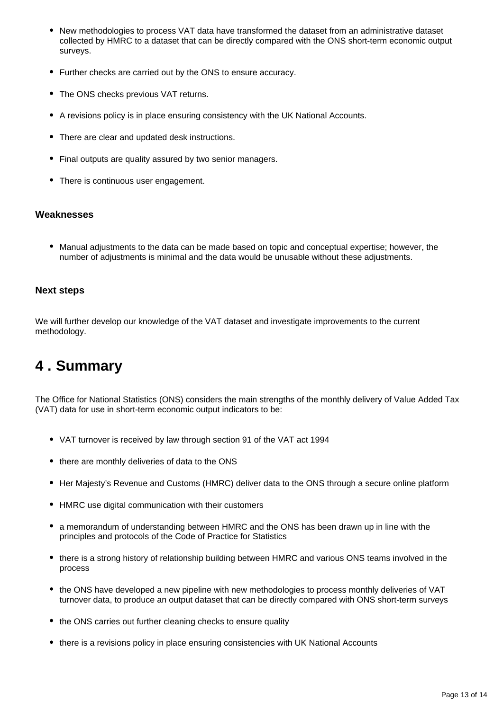- New methodologies to process VAT data have transformed the dataset from an administrative dataset collected by HMRC to a dataset that can be directly compared with the ONS short-term economic output surveys.
- Further checks are carried out by the ONS to ensure accuracy.
- The ONS checks previous VAT returns.
- A revisions policy is in place ensuring consistency with the UK National Accounts.
- There are clear and updated desk instructions.
- Final outputs are quality assured by two senior managers.
- There is continuous user engagement.

#### **Weaknesses**

Manual adjustments to the data can be made based on topic and conceptual expertise; however, the number of adjustments is minimal and the data would be unusable without these adjustments.

#### **Next steps**

We will further develop our knowledge of the VAT dataset and investigate improvements to the current methodology.

## <span id="page-12-0"></span>**4 . Summary**

The Office for National Statistics (ONS) considers the main strengths of the monthly delivery of Value Added Tax (VAT) data for use in short-term economic output indicators to be:

- VAT turnover is received by law through section 91 of the VAT act 1994
- there are monthly deliveries of data to the ONS
- Her Majesty's Revenue and Customs (HMRC) deliver data to the ONS through a secure online platform
- HMRC use digital communication with their customers
- a memorandum of understanding between HMRC and the ONS has been drawn up in line with the principles and protocols of the Code of Practice for Statistics
- there is a strong history of relationship building between HMRC and various ONS teams involved in the process
- the ONS have developed a new pipeline with new methodologies to process monthly deliveries of VAT turnover data, to produce an output dataset that can be directly compared with ONS short-term surveys
- the ONS carries out further cleaning checks to ensure quality
- there is a revisions policy in place ensuring consistencies with UK National Accounts